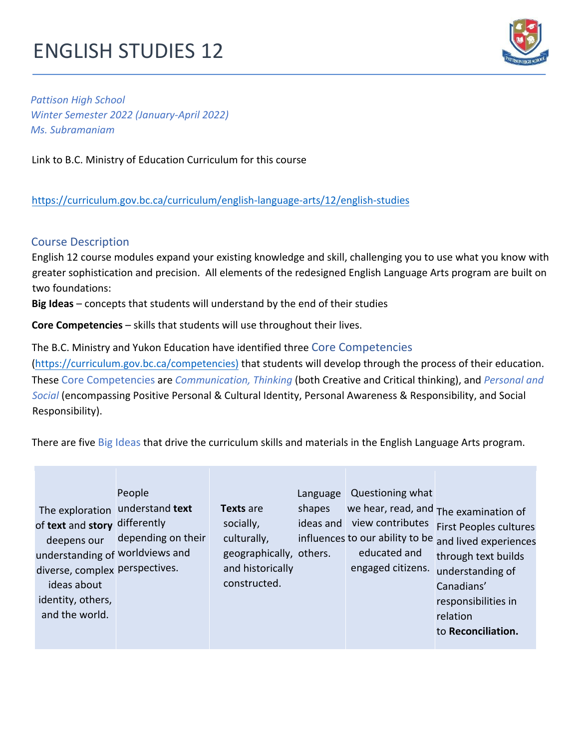# **ENGLISH STUDIES 12**



**Pattison High School** *Winter Semester 2022 (January-April 2022) Ms. Subramaniam*  

Link to B.C. Ministry of Education Curriculum for this course

# https://curriculum.gov.bc.ca/curriculum/english-language-arts/12/english-studies

# Course Description

English 12 course modules expand your existing knowledge and skill, challenging you to use what you know with greater sophistication and precision. All elements of the redesigned English Language Arts program are built on two foundations:

**Big Ideas** – concepts that students will understand by the end of their studies

**Core Competencies** – skills that students will use throughout their lives.

The B.C. Ministry and Yukon Education have identified three Core Competencies

(https://curriculum.gov.bc.ca/competencies) that students will develop through the process of their education. These Core Competencies are *Communication, Thinking* (both Creative and Critical thinking), and *Personal and* **Social** (encompassing Positive Personal & Cultural Identity, Personal Awareness & Responsibility, and Social Responsibility). 

There are five Big Ideas that drive the curriculum skills and materials in the English Language Arts program.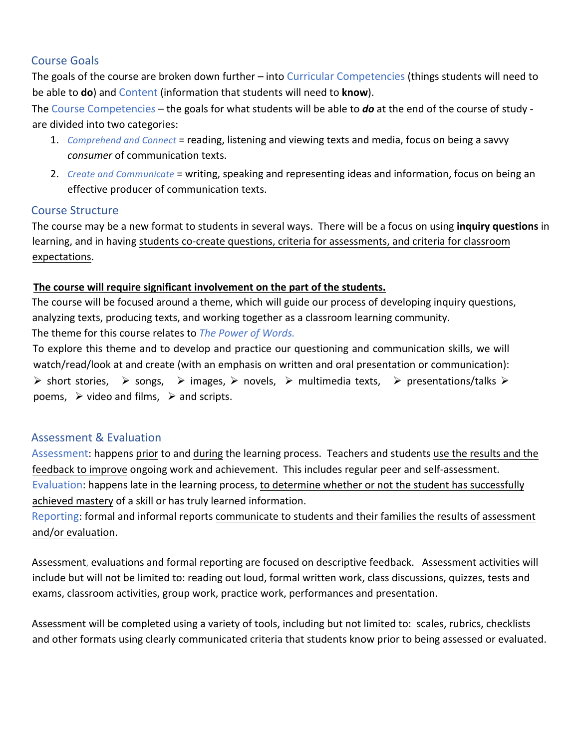## Course Goals

The goals of the course are broken down further  $-$  into Curricular Competencies (things students will need to be able to **do**) and Content (information that students will need to **know**).

The Course Competencies – the goals for what students will be able to **do** at the end of the course of study are divided into two categories:

- 1. *Comprehend and Connect* = reading, listening and viewing texts and media, focus on being a savvy *consumer* of communication texts.
- 2. *Create and Communicate* = writing, speaking and representing ideas and information, focus on being an effective producer of communication texts.

## Course Structure

The course may be a new format to students in several ways. There will be a focus on using **inquiry questions** in learning, and in having students co-create questions, criteria for assessments, and criteria for classroom expectations. 

## The course will require significant involvement on the part of the students.

The course will be focused around a theme, which will guide our process of developing inquiry questions, analyzing texts, producing texts, and working together as a classroom learning community. The theme for this course relates to *The Power of Words.* 

To explore this theme and to develop and practice our questioning and communication skills, we will watch/read/look at and create (with an emphasis on written and oral presentation or communication):  $\triangleright$  short stories,  $\triangleright$  songs,  $\triangleright$  images,  $\triangleright$  novels,  $\triangleright$  multimedia texts,  $\triangleright$  presentations/talks  $\triangleright$ poems,  $\triangleright$  video and films,  $\triangleright$  and scripts.

## Assessment & Evaluation

Assessment: happens prior to and during the learning process. Teachers and students use the results and the feedback to improve ongoing work and achievement. This includes regular peer and self-assessment. Evaluation: happens late in the learning process, to determine whether or not the student has successfully achieved mastery of a skill or has truly learned information.

Reporting: formal and informal reports communicate to students and their families the results of assessment and/or evaluation.

Assessment, evaluations and formal reporting are focused on descriptive feedback. Assessment activities will include but will not be limited to: reading out loud, formal written work, class discussions, quizzes, tests and exams, classroom activities, group work, practice work, performances and presentation.

Assessment will be completed using a variety of tools, including but not limited to: scales, rubrics, checklists and other formats using clearly communicated criteria that students know prior to being assessed or evaluated.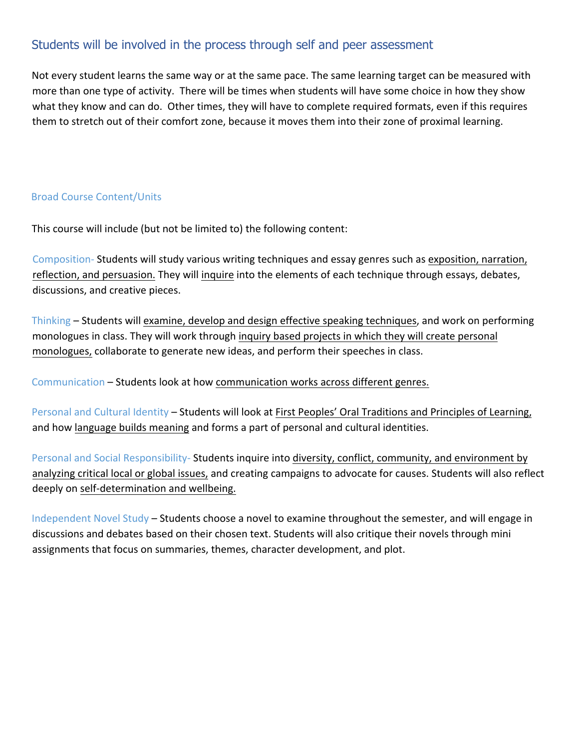# Students will be involved in the process through self and peer assessment

Not every student learns the same way or at the same pace. The same learning target can be measured with more than one type of activity. There will be times when students will have some choice in how they show what they know and can do. Other times, they will have to complete required formats, even if this requires them to stretch out of their comfort zone, because it moves them into their zone of proximal learning.

## Broad Course Content/Units

This course will include (but not be limited to) the following content:

Composition- Students will study various writing techniques and essay genres such as exposition, narration, reflection, and persuasion. They will inquire into the elements of each technique through essays, debates, discussions, and creative pieces.

Thinking – Students will examine, develop and design effective speaking techniques, and work on performing monologues in class. They will work through inquiry based projects in which they will create personal monologues, collaborate to generate new ideas, and perform their speeches in class.

Communication – Students look at how communication works across different genres.

Personal and Cultural Identity – Students will look at First Peoples' Oral Traditions and Principles of Learning, and how language builds meaning and forms a part of personal and cultural identities.

Personal and Social Responsibility- Students inquire into diversity, conflict, community, and environment by analyzing critical local or global issues, and creating campaigns to advocate for causes. Students will also reflect deeply on self-determination and wellbeing.

Independent Novel Study – Students choose a novel to examine throughout the semester, and will engage in discussions and debates based on their chosen text. Students will also critique their novels through mini assignments that focus on summaries, themes, character development, and plot.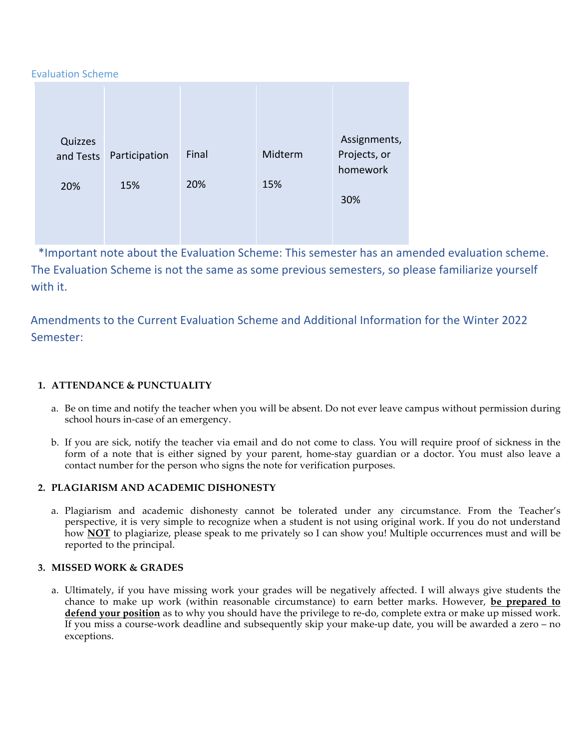#### Evaluation Scheme

| Quizzes<br>and Tests | Participation | Final | Midterm | Assignments,<br>Projects, or |
|----------------------|---------------|-------|---------|------------------------------|
| 20%                  | 15%           | 20%   | 15%     | homework                     |
|                      |               |       |         | 30%                          |
|                      |               |       |         |                              |

\*Important note about the Evaluation Scheme: This semester has an amended evaluation scheme. The Evaluation Scheme is not the same as some previous semesters, so please familiarize yourself with it.

Amendments to the Current Evaluation Scheme and Additional Information for the Winter 2022 Semester:

#### **1. ATTENDANCE & PUNCTUALITY**

- a. Be on time and notify the teacher when you will be absent. Do not ever leave campus without permission during school hours in-case of an emergency.
- b. If you are sick, notify the teacher via email and do not come to class. You will require proof of sickness in the form of a note that is either signed by your parent, home-stay guardian or a doctor. You must also leave a contact number for the person who signs the note for verification purposes.

#### **2. PLAGIARISM AND ACADEMIC DISHONESTY**

a. Plagiarism and academic dishonesty cannot be tolerated under any circumstance. From the Teacher's perspective, it is very simple to recognize when a student is not using original work. If you do not understand how **NOT** to plagiarize, please speak to me privately so I can show you! Multiple occurrences must and will be reported to the principal.

#### **3. MISSED WORK & GRADES**

a. Ultimately, if you have missing work your grades will be negatively affected. I will always give students the chance to make up work (within reasonable circumstance) to earn better marks. However, **be prepared to defend your position** as to why you should have the privilege to re-do, complete extra or make up missed work. If you miss a course-work deadline and subsequently skip your make-up date, you will be awarded a zero – no exceptions.